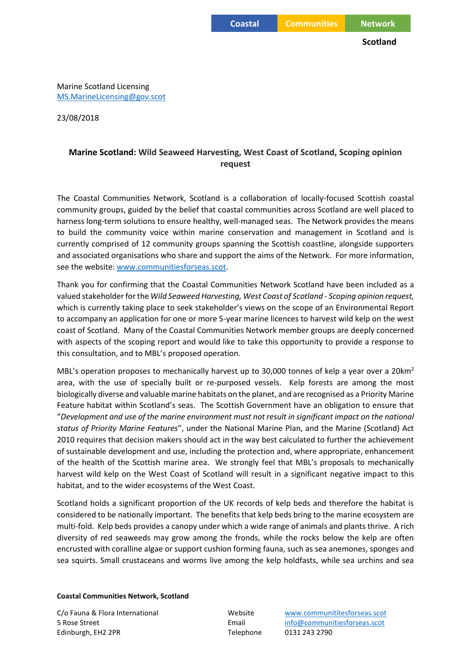**Scotland**

Marine Scotland Licensing [MS.MarineLicensing@gov.scot](mailto:MS.MarineLicensing@gov.scot)

23/08/2018

# **Marine Scotland: Wild Seaweed Harvesting, West Coast of Scotland, Scoping opinion request**

The Coastal Communities Network, Scotland is a collaboration of locally-focused Scottish coastal community groups, guided by the belief that coastal communities across Scotland are well placed to harness long-term solutions to ensure healthy, well-managed seas. The Network provides the means to build the community voice within marine conservation and management in Scotland and is currently comprised of 12 community groups spanning the Scottish coastline, alongside supporters and associated organisations who share and support the aims of the Network. For more information, see the website[: www.communitiesforseas.scot.](http://www.communitiesforseas.scot/)

Thank you for confirming that the Coastal Communities Network Scotland have been included as a valued stakeholder for the *Wild Seaweed Harvesting, West Coast of Scotland - Scoping opinion request,* which is currently taking place to seek stakeholder's views on the scope of an Environmental Report to accompany an application for one or more 5-year marine licences to harvest wild kelp on the west coast of Scotland. Many of the Coastal Communities Network member groups are deeply concerned with aspects of the scoping report and would like to take this opportunity to provide a response to this consultation, and to MBL's proposed operation.

MBL's operation proposes to mechanically harvest up to 30,000 tonnes of kelp a year over a 20 km<sup>2</sup> area, with the use of specially built or re-purposed vessels. Kelp forests are among the most biologically diverse and valuable marine habitats on the planet, and are recognised as a Priority Marine Feature habitat within Scotland's seas. The Scottish Government have an obligation to ensure that "*Development and use of the marine environment must not result in significant impact on the national status of Priority Marine Features*", under the National Marine Plan, and the Marine (Scotland) Act 2010 requires that decision makers should act in the way best calculated to further the achievement of sustainable development and use, including the protection and, where appropriate, enhancement of the health of the Scottish marine area. We strongly feel that MBL's proposals to mechanically harvest wild kelp on the West Coast of Scotland will result in a significant negative impact to this habitat, and to the wider ecosystems of the West Coast.

Scotland holds a significant proportion of the UK records of kelp beds and therefore the habitat is considered to be nationally important. The benefits that kelp beds bring to the marine ecosystem are multi-fold. Kelp beds provides a canopy under which a wide range of animals and plants thrive. A rich diversity of red seaweeds may grow among the fronds, while the rocks below the kelp are often encrusted with coralline algae or support cushion forming fauna, such as sea anemones, sponges and sea squirts. Small crustaceans and worms live among the kelp holdfasts, while sea urchins and sea

### **Coastal Communities Network, Scotland**

Edinburgh, EH2 2PR Telephone 0131 243 2790

C/o Fauna & Flora International Website [www.communititesforseas.scot](http://www.communititesforseas.scot/) 5 Rose Street Email [info@communitiesforseas.scot](mailto:info@communitiesforseas.scot)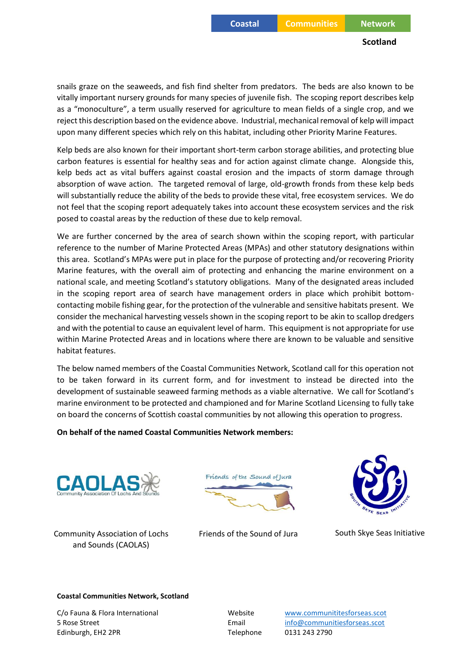## **Scotland**

snails graze on the seaweeds, and fish find shelter from predators. The beds are also known to be vitally important nursery grounds for many species of juvenile fish. The scoping report describes kelp as a "monoculture", a term usually reserved for agriculture to mean fields of a single crop, and we reject this description based on the evidence above. Industrial, mechanical removal of kelp will impact upon many different species which rely on this habitat, including other Priority Marine Features.

Kelp beds are also known for their important short-term carbon storage abilities, and protecting blue carbon features is essential for healthy seas and for action against climate change. Alongside this, kelp beds act as vital buffers against coastal erosion and the impacts of storm damage through absorption of wave action. The targeted removal of large, old-growth fronds from these kelp beds will substantially reduce the ability of the beds to provide these vital, free ecosystem services. We do not feel that the scoping report adequately takes into account these ecosystem services and the risk posed to coastal areas by the reduction of these due to kelp removal.

We are further concerned by the area of search shown within the scoping report, with particular reference to the number of Marine Protected Areas (MPAs) and other statutory designations within this area. Scotland's MPAs were put in place for the purpose of protecting and/or recovering Priority Marine features, with the overall aim of protecting and enhancing the marine environment on a national scale, and meeting Scotland's statutory obligations. Many of the designated areas included in the scoping report area of search have management orders in place which prohibit bottomcontacting mobile fishing gear, for the protection of the vulnerable and sensitive habitats present. We consider the mechanical harvesting vessels shown in the scoping report to be akin to scallop dredgers and with the potential to cause an equivalent level of harm. This equipment is not appropriate for use within Marine Protected Areas and in locations where there are known to be valuable and sensitive habitat features.

The below named members of the Coastal Communities Network, Scotland call for this operation not to be taken forward in its current form, and for investment to instead be directed into the development of sustainable seaweed farming methods as a viable alternative. We call for Scotland's marine environment to be protected and championed and for Marine Scotland Licensing to fully take on board the concerns of Scottish coastal communities by not allowing this operation to progress.

## **On behalf of the named Coastal Communities Network members:**



Community Association of Lochs and Sounds (CAOLAS)



Friends of the Sound of Jura South Skye Seas Initiative



#### **Coastal Communities Network, Scotland**

C/o Fauna & Flora International Website [www.communititesforseas.scot](http://www.communititesforseas.scot/) 5 Rose Street Email [info@communitiesforseas.scot](mailto:info@communitiesforseas.scot) Edinburgh, EH2 2PR Telephone 0131 243 2790